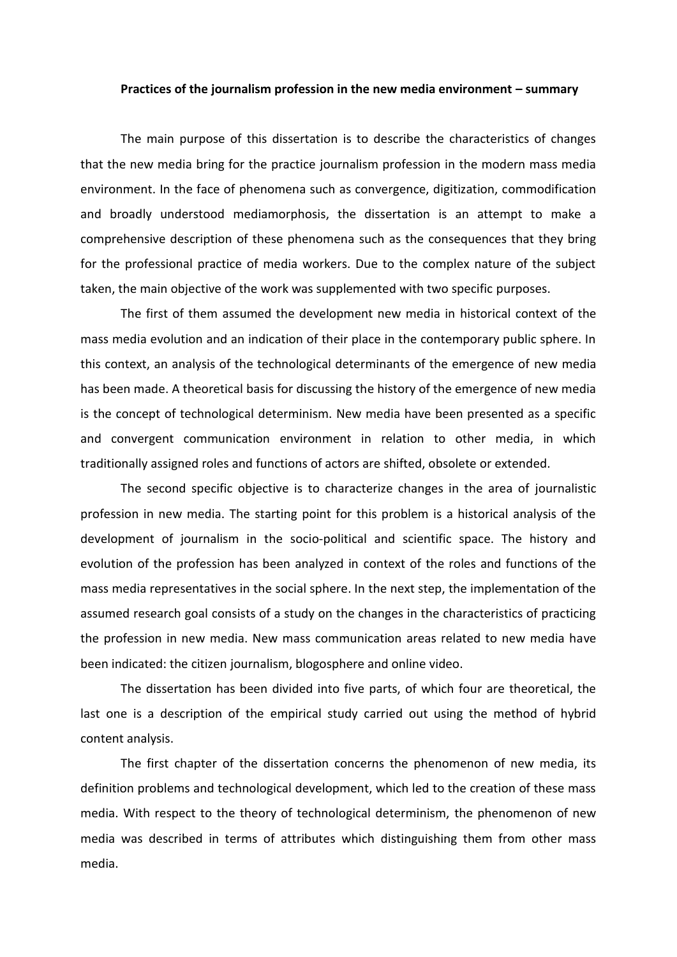## **Practices of the journalism profession in the new media environment – summary**

The main purpose of this dissertation is to describe the characteristics of changes that the new media bring for the practice journalism profession in the modern mass media environment. In the face of phenomena such as convergence, digitization, commodification and broadly understood mediamorphosis, the dissertation is an attempt to make a comprehensive description of these phenomena such as the consequences that they bring for the professional practice of media workers. Due to the complex nature of the subject taken, the main objective of the work was supplemented with two specific purposes.

The first of them assumed the development new media in historical context of the mass media evolution and an indication of their place in the contemporary public sphere. In this context, an analysis of the technological determinants of the emergence of new media has been made. A theoretical basis for discussing the history of the emergence of new media is the concept of technological determinism. New media have been presented as a specific and convergent communication environment in relation to other media, in which traditionally assigned roles and functions of actors are shifted, obsolete or extended.

The second specific objective is to characterize changes in the area of journalistic profession in new media. The starting point for this problem is a historical analysis of the development of journalism in the socio-political and scientific space. The history and evolution of the profession has been analyzed in context of the roles and functions of the mass media representatives in the social sphere. In the next step, the implementation of the assumed research goal consists of a study on the changes in the characteristics of practicing the profession in new media. New mass communication areas related to new media have been indicated: the citizen journalism, blogosphere and online video.

The dissertation has been divided into five parts, of which four are theoretical, the last one is a description of the empirical study carried out using the method of hybrid content analysis.

The first chapter of the dissertation concerns the phenomenon of new media, its definition problems and technological development, which led to the creation of these mass media. With respect to the theory of technological determinism, the phenomenon of new media was described in terms of attributes which distinguishing them from other mass media.